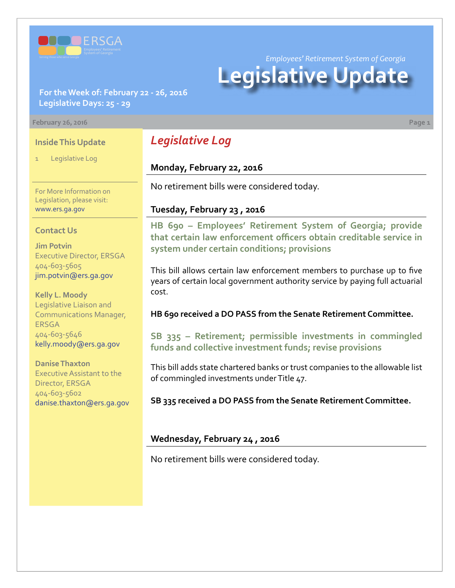

*Employees' Retirement System of Georgia*

# **Legislative Update**

### **For the Week of: February 22 - 26, 2016 Legislative Days: 25 - 29**

#### **February 26, 2016 Page 1**

### **Inside This Update**

Legislative Log

For More Information on Legislation, please visit: [www.ers.ga.gov](http://www.ers.ga.gov/default.aspx)

#### **Contact Us**

**Jim Potvin** Executive Director, ERSGA 404-603-5605 jim.potvin@ers.ga.gov

**Kelly L. Moody** Legislative Liaison and Communications Manager, ERSGA 404-603-5646 kelly.moody@ers.ga.gov

**Danise Thaxton** Executive Assistant to the Director, ERSGA 404-603-5602 danise.thaxton@ers.ga.gov

# *Legislative Log*

## **Monday, February 22, 2016**

No retirement bills were considered today.

### **Tuesday, February 23 , 2016**

**HB [690 – E](http://www.legis.ga.gov/legislation/en-US/Display/20152016/HB/690)mployees' Retirement System of Georgia; provide that certain law enforcement officers obtain creditable service in system under certain conditions; provisions**

This bill allows certain law enforcement members to purchase up to five years of certain local government authority service by paying full actuarial cost.

#### **HB 690 received a DO PASS from the Senate Retirement Committee.**

**S[B 335 –](http://www.legis.ga.gov/legislation/en-US/Display/20152016/SB/335) Retirement; permissible investments in commingled funds and collective investment funds; revise provisions**

This bill adds state chartered banks or trust companies to the allowable list of commingled investments under Title 47.

**SB 335 received a DO PASS from the Senate Retirement Committee.**

### **Wednesday, February 24 , 2016**

No retirement bills were considered today.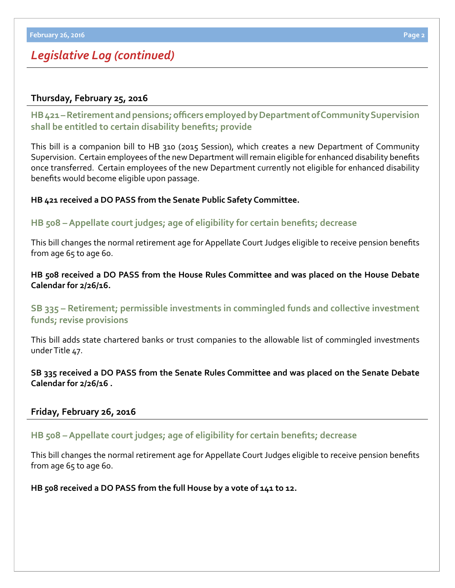# *Legislative Log (continued)*

# **Thursday, February 25, 2016**

**HB [421 – R](http://www.legis.ga.gov/legislation/en-US/Display/20152016/HB/421)etirement and pensions; officers employed by Department of Community Supervision shall be entitled to certain disability benefits; provide**

This bill is a companion bill to HB 310 (2015 Session), which creates a new Department of Community Supervision. Certain employees of the new Department will remain eligible for enhanced disability benefits once transferred. Certain employees of the new Department currently not eligible for enhanced disability benefits would become eligible upon passage.

### **HB 421 received a DO PASS from the Senate Public Safety Committee.**

## **HB [508 – A](http://www.legis.ga.gov/legislation/en-US/Display/20152016/HB/508)ppellate court judges; age of eligibility for certain benefits; decrease**

This bill changes the normal retirement age for Appellate Court Judges eligible to receive pension benefits from age 65 to age 60.

### **HB 508 received a DO PASS from the House Rules Committee and was placed on the House Debate Calendar for 2/26/16.**

**S[B 335 –](http://www.legis.ga.gov/legislation/en-US/Display/20152016/SB/335) Retirement; permissible investments in commingled funds and collective investment funds; revise provisions**

This bill adds state chartered banks or trust companies to the allowable list of commingled investments under Title 47.

### **SB 335 received a DO PASS from the Senate Rules Committee and was placed on the Senate Debate Calendar for 2/26/16 .**

### **Friday, February 26, 2016**

## **HB [508 – A](http://www.legis.ga.gov/legislation/en-US/Display/20152016/HB/508)ppellate court judges; age of eligibility for certain benefits; decrease**

This bill changes the normal retirement age for Appellate Court Judges eligible to receive pension benefits from age 65 to age 60.

**HB 508 received a DO PASS from the full House by a vote of 141 to 12.**